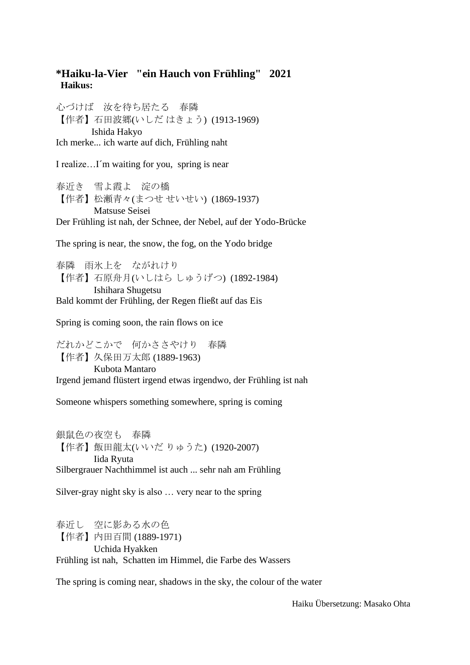## **\*Haiku-la-Vier "ein Hauch von Frühling" 2021 Haikus:**

心づけば 汝を待ち居たる 春隣 【作者】石田波郷(いしだ はきょう) (1913-1969) Ishida Hakyo Ich merke... ich warte auf dich, Frühling naht

I realize…I´m waiting for you, spring is near

春近き 雪よ霞よ 淀の橋 【作者】松瀬青々(まつせ せいせい) (1869-1937) Matsuse Seisei Der Frühling ist nah, der Schnee, der Nebel, auf der Yodo-Brücke

The spring is near, the snow, the fog, on the Yodo bridge

春隣 雨氷上を ながれけり 【作者】石原舟月(いしはら しゅうげつ) (1892-1984) Ishihara Shugetsu Bald kommt der Frühling, der Regen fließt auf das Eis

Spring is coming soon, the rain flows on ice

だれかどこかで 何かささやけり 春隣 【作者】久保田万太郎 (1889-1963) Kubota Mantaro Irgend jemand flüstert irgend etwas irgendwo, der Frühling ist nah

Someone whispers something somewhere, spring is coming

銀鼠色の夜空も 春隣 【作者】飯田龍太(いいだ りゅうた) (1920-2007) Iida Ryuta Silbergrauer Nachthimmel ist auch ... sehr nah am Frühling

Silver-gray night sky is also … very near to the spring

春近し 空に影ある水の色 【作者】内田百間 (1889-1971) Uchida Hyakken Frühling ist nah, Schatten im Himmel, die Farbe des Wassers

The spring is coming near, shadows in the sky, the colour of the water

Haiku Übersetzung: Masako Ohta